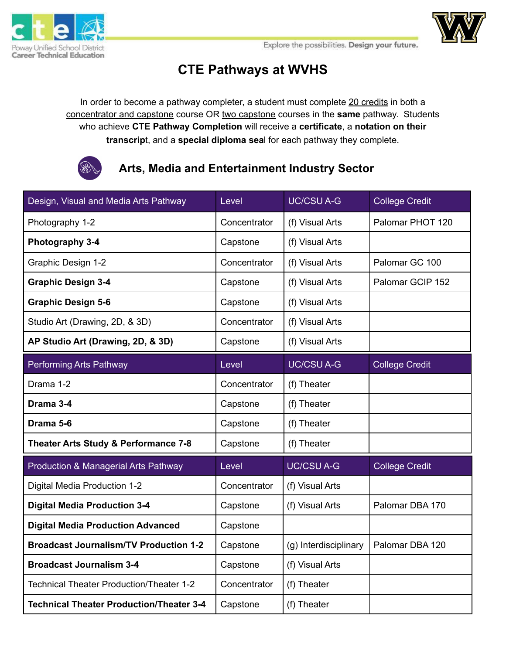



## **CTE Pathways at WVHS**

In order to become a pathway completer, a student must complete 20 credits in both a concentrator and capstone course OR two capstone courses in the **same** pathway. Students who achieve **CTE Pathway Completion** will receive a **certificate**, a **notation on their transcrip**t, and a **special diploma sea**l for each pathway they complete.



### **Arts, Media and Entertainment Industry Sector**

| Design, Visual and Media Arts Pathway           | Level        | <b>UC/CSU A-G</b>     | <b>College Credit</b> |
|-------------------------------------------------|--------------|-----------------------|-----------------------|
| Photography 1-2                                 | Concentrator | (f) Visual Arts       | Palomar PHOT 120      |
| Photography 3-4                                 | Capstone     | (f) Visual Arts       |                       |
| Graphic Design 1-2                              | Concentrator | (f) Visual Arts       | Palomar GC 100        |
| <b>Graphic Design 3-4</b>                       | Capstone     | (f) Visual Arts       | Palomar GCIP 152      |
| <b>Graphic Design 5-6</b>                       | Capstone     | (f) Visual Arts       |                       |
| Studio Art (Drawing, 2D, & 3D)                  | Concentrator | (f) Visual Arts       |                       |
| AP Studio Art (Drawing, 2D, & 3D)               | Capstone     | (f) Visual Arts       |                       |
| Performing Arts Pathway                         | Level        | <b>UC/CSU A-G</b>     | <b>College Credit</b> |
| Drama 1-2                                       | Concentrator | (f) Theater           |                       |
| Drama 3-4                                       | Capstone     | (f) Theater           |                       |
| Drama 5-6                                       | Capstone     | (f) Theater           |                       |
| Theater Arts Study & Performance 7-8            | Capstone     | (f) Theater           |                       |
| Production & Managerial Arts Pathway            | Level        | <b>UC/CSU A-G</b>     | <b>College Credit</b> |
| Digital Media Production 1-2                    | Concentrator | (f) Visual Arts       |                       |
| <b>Digital Media Production 3-4</b>             | Capstone     | (f) Visual Arts       | Palomar DBA 170       |
| <b>Digital Media Production Advanced</b>        | Capstone     |                       |                       |
| <b>Broadcast Journalism/TV Production 1-2</b>   | Capstone     | (g) Interdisciplinary | Palomar DBA 120       |
| <b>Broadcast Journalism 3-4</b>                 | Capstone     | (f) Visual Arts       |                       |
| Technical Theater Production/Theater 1-2        | Concentrator | (f) Theater           |                       |
| <b>Technical Theater Production/Theater 3-4</b> | Capstone     | (f) Theater           |                       |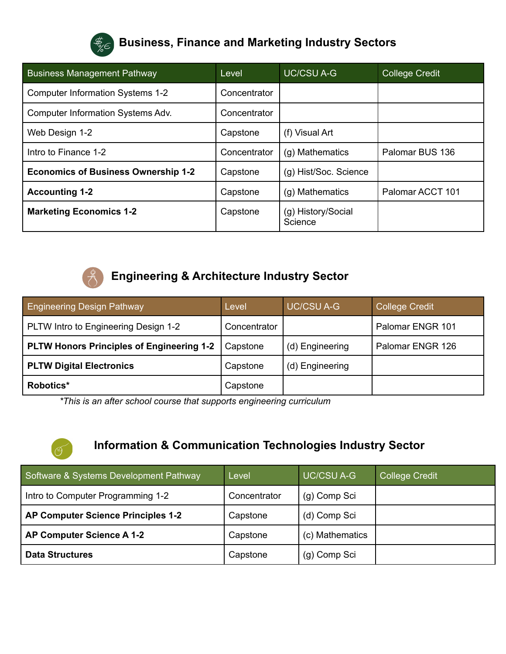

# **Business, Finance and Marketing Industry Sectors**

| <b>Business Management Pathway</b>         | Level        | <b>UC/CSU A-G</b>             | <b>College Credit</b> |
|--------------------------------------------|--------------|-------------------------------|-----------------------|
| <b>Computer Information Systems 1-2</b>    | Concentrator |                               |                       |
| Computer Information Systems Adv.          | Concentrator |                               |                       |
| Web Design 1-2                             | Capstone     | (f) Visual Art                |                       |
| Intro to Finance 1-2                       | Concentrator | (g) Mathematics               | Palomar BUS 136       |
| <b>Economics of Business Ownership 1-2</b> | Capstone     | (g) Hist/Soc. Science         |                       |
| <b>Accounting 1-2</b>                      | Capstone     | (g) Mathematics               | Palomar ACCT 101      |
| <b>Marketing Economics 1-2</b>             | Capstone     | (g) History/Social<br>Science |                       |



Ő

## **Engineering & Architecture Industry Sector**

| <b>Engineering Design Pathway</b>                | Level        | <b>UC/CSU A-G</b> | <b>College Credit</b> |
|--------------------------------------------------|--------------|-------------------|-----------------------|
| PLTW Intro to Engineering Design 1-2             | Concentrator |                   | Palomar ENGR 101      |
| <b>PLTW Honors Principles of Engineering 1-2</b> | Capstone     | (d) Engineering   | Palomar ENGR 126      |
| <b>PLTW Digital Electronics</b>                  | Capstone     | (d) Engineering   |                       |
| Robotics*                                        | Capstone     |                   |                       |

*\*This is an after school course that supports engineering curriculum*

### **Information & Communication Technologies Industry Sector**

| Software & Systems Development Pathway    | Level        | <b>UC/CSU A-G</b> | <b>College Credit</b> |
|-------------------------------------------|--------------|-------------------|-----------------------|
| Intro to Computer Programming 1-2         | Concentrator | (g) Comp Sci      |                       |
| <b>AP Computer Science Principles 1-2</b> | Capstone     | (d) Comp Sci      |                       |
| AP Computer Science A 1-2                 | Capstone     | (c) Mathematics   |                       |
| <b>Data Structures</b>                    | Capstone     | (g) Comp Sci      |                       |